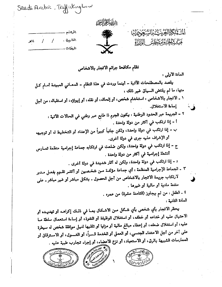Saudi Arabic Traffickinghow



استاكرالع ينه السكون المنابع المتنازع المؤراة

الرفشم .  $\frac{1}{2}$ المناريخ ؛  $M2$ المرفعات .

نظام مكافحة جراثم الاتجار بالاشخاص

العادة الأولى :

يقصد بالمصطلحات الآتية - أينما وردت في هذا النظام - المعــاني المبينــة أمــام كــل منها، ما لم يقتض السياق غير ذلك .

١ ـ الاتجار بالاشخاص . استخدام شخص، أو إلحاقه، أو نقله، أو إيواؤه، أو استقباله، من أجل إساءة الاستغلال.

- ٢ الجريمة عبر الحدود الوطنية . يكون الجرم ذا طابع عبر وطني في الحالات الآتية . أ - إذا ارتكب في أكثر من دولة واحدة .
- ب ــ إذا ارتكب في دولة واحدة، ولكن جانباً كبيراً من الإعداد أو التخطيط له أو توجيهه أو الإشراف عليه جرى في دولة أخرى.
- ج إذا ارتكب في دولة واحدة، ولكن ضلعت في ارتكابه جماعة إجرامية منظمة تمــارس أنشطة إجرامية في أكثر من دولة واحدة .
	- د إذا ارتكب في دولة واحدة، ولكن له أثار شديدة في دولة أخرى .
- ٣ ـ الجماعة الإجرامية المنظمة : أي جماعة مؤلفـة مـن شخـصين أو أكثـر تقـوم بفعـل مـدبر لارتكاب جريمة الاتجار بالاشخاص من أجل الحصول ـ بشكل مباشر أو غير مباشر ـ على منفعة مادية أو مالية أو غيرها .

٤ ـ الطفل : من لم يجاوز (الثامنة عشرة) من عمره . المادة الثانية .

يحظر الاتجار بأي شخص بأي شكل مـن الاشكال بمـا في ذلـك إكراهــه أو تهديــده أو الاحتيال عليه أو خداعه أو خطفه، أو استغلال الوظيفة أو النفوذ، أو إساءة استعمال سلطة مــا عليه، أو استغلال ضعفه، أو إعطاء مبالغ مالية أو مزايا أو تلقيها لنيل موافقة شخص له سيطرة على آخر من أجل الاعتداء الجنسي، أو العمل أو الخدمة قـسراً، أو التـسول، أو الاسـترقاق أو الممارسات الشبيهة بالرق، أو الاستعباد، أو نزع الاع<u>ضاء</u>، أو إجراء تجارب طبية عليه .

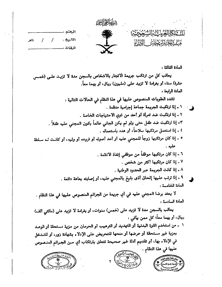|        |  |           | ينتلها فخرائقته |                             |  |
|--------|--|-----------|-----------------|-----------------------------|--|
|        |  |           | 杰               | الشتابكم الغريب بالسيجودي   |  |
| عالمعر |  | وفي الناء |                 | فسيستبل الميانية<br>الأزراء |  |
|        |  | المرفهات  |                 |                             |  |

المادة الثالثة .

يعاقب كل من ارتكب جريمة الاتجار بالاشخاص بالسجن مدة لا تزيـد علـى (خمـس عشرة) سنة، أو بغرامة لا تزيد على (مليون) ريال، أو بهما معاً. المادة الرابعة :

تشدد العقوبات المنصوص عليها في هذا النظام في الحالات التالية . 1 ـ إذا ارتكبت الجريمة جماعة إجرامية منظمة . ٢ ـ إذا ارتكبت ضد امرأة أو أحد من ذوي الاحتياجات الخاصة . ٣- إذا ارتكبت ضد طفل حتى ولو لم يكن الجاني عالماً بكون المجنى عليه طفلاً . ٤ ـ إذا استغمل مرتكبها سلاحاً، أو هدد باستعماله . ٥ ـ إذا كان مرتكبها زوجاً للمجنى عليه أو أحد أصوله أو فروعه أو وليه، أو كانـت لـه سـلطة علبه ٦ ـ إذا كان مرتكبها موظفاً من موظفى إنفاذ الانظمة . ٧ ـ إذا كان مرتكبها أكثر من شخص . ٨ ـ إذا كانت الجريمة عبر الحدود الوطنية . ٩ ـ إذا ترتب عليها إلحاق أذى بليغ بالمجنى عليه، أو إصابته بعاهة دائمة . المادة الخامسة :

لا يعتد برضا المجني عليه في أي جريمة من الجرائم المنصوص عليها في هذا النظام . المادة السادسة :

يعاقب بالسجن مدة لا تزيد على (خمس) سنوات، أو بغرامة لا تزيد على (مائتي ألف) ریال، او بهما معاً؛ کل ممن بیاتی :

١ - من استخدم القوة البدنية أو التهديد أو الترهيب أو الحرمان من مزية مستحقة أو الوعـد بمزية غير مستحقة أو عرضها أو منحها للتحريض على الإدلاء بشهادة زور، أو للتمخل في الإدلاء بها، أو تقديم أدلة غير صحيحة تتعلَّق بارتكاب أي مــن الجـرائم المنـصوص عليها في هذا النظام .





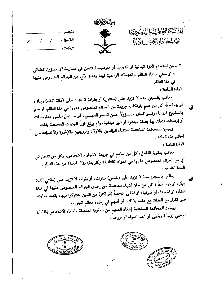

|                 | الرهشم مست      |
|-----------------|-----------------|
| $\mathbf{12}$ / | المناربيخ : /   |
|                 | المرفعات ويتسبب |

٢ ـ من استخدم القوة البدنية أو التهديد أو الترهيب للتدخل في ممارسة أي مسؤول قـضائي - أو معني بإنفاذ النظَّام – لمهماته الرسمية فيما يتعلق بأي من الجرائم المنصوص عليها في هذا النظام . المادة السابعة :

يعاقب بالسجن مدة لا تزيد على (سنتين) أو بغرامة لا تزيد على (مائة الـف) ريــال، أو بهما معاً؛ كل من علم بارتكاب جريمة من الجرائم المنصوص عليها في هذا النظام، أو علم بالسشروع فيهسا، ولسو كسان مسسؤولاً عسن السسر المهسني، أو حسصل علسى معلومسات أو إرشادات تتعلق بها بصفة مباشرة أو غير مباشرة، ولم يبلغ فوراً الجهات المختصة بذلك .

ويجوز للمحكمة المختصة استثناء الوالدين والاولاد والزوجين والإخـوة والاخـوات مـن أحكام هذه المادة . المادة الثامنة :

يعاقب بعقوبة الفاعل، كل من ساهم في جريمة الاتجار بالاشخاص، وكل من تدخل في أي من الجرائم المنصوص عليها في المواد: (الثانية) و(الرابعة) و(السادسة) من هذا النظام . المادة التاسعة :

يعاقب بالسجن مدة لا تزيد على (خمس) سنوات، أو بغرامة لا تزيد على (مائتي ألف) ريال، أو بهما معاً ؛ كل من حاز أشياء متحصلة من إحدى الجرائم المنصوص عليها في هـذا النظام، أو أخفاها، أو صرفها، أو أخفى شخصاً (أو أكثر) من الذين اشتركوا فيها، بقصد معاونته على الفرار من العدالة مع علمه بذلك، أو أسهم في إخفاء معالم الجريمة .

ويجوز للمحكمة المختصة إعفاء المتهم من العقوبة المتعلقة بإخفاء الاشخاص إذا كان المخفى زوجاً للمخفى أو أحد أصوله أو فروعه .



السَّلِكَمَّالِجَنَّ يَا الِيَّنَّجُونَ يَهْدِ

مَسْتَمَدَّ الْمُكَسَّنَاتُ الْوَزَالَةِ

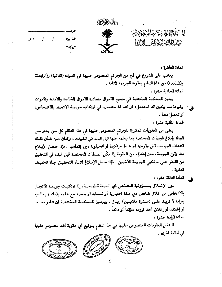| . تين تنه ۱<br>- 112 | 茶瓶  | المنتابها لتحريبة بالسيجودي<br>مَسْكَبِبُلْكَبِبُرْكَ بَحَيْلِيَّتَ<br>الأزراء |
|----------------------|-----|--------------------------------------------------------------------------------|
| المرفعات             | . . |                                                                                |

المادة العاشرة :

يعاقب على الشروع في أي من الجرائم المنصوص عليها في المواد. (الثانية) و(الرابعـة) و(السادسة) من هذا النظام بعقوبة الجريمة التامة .

المادة الحادية عشرة :

يجوز للمحكمة المختصة في جميع الأحوال مصادرة الأموال الخاصة والأمتعة والأدوات وغيرها مما يكون قد استعمل، أو أعد للاستعمال، في ارتكاب جريمة الاتجار بالاشخاص، أو تحصل منها .

المادة الثانية عشرة :

يعفي من العقوبات المقررة للجرائم المنصوص عليها في هذا النظام كل مس بيادر مس الجناة بإبلاغ الجهات المختصة بما يعلمه عنها قبل البدء في تنفيذها، وكـان مــن شـان ذلـك اكتشاف الجريمة، قبل وقوعها أو ضبط مرتكبها أو الحيلولة دون إتمامها . فإذا حـصل الإبــلاغ بعد رتوع الجريمة، جاز إعفاؤه من العقوبة إذا مكَّن السلطات المختصة قبل البدء في التحقيق من القبض على مرتكبي الجريمة الآخرين . فإذا حصل الإبــلاغ أثنــاء التحقيــق جـاز تخفيـف العقوبة .

المادة الثالثة عشرة :

دون الإخلال بمسؤولية الـشخص ذي الـصفة الطبيعيــة، إذا ارتكبـت جريمــة الاتجـار بالاشخاص من خلال شخص ذي صفة اعتبارية أو لحسابه أو باسمه مع علمه بذلك ؛ يعاقب بغرامة لا تزييد علـى (عـشرة ملايـين) ريـال . ويجـوز للمحكمـة المختـصة أن تـامر بحلـه، أو إغلاقه، أو إغلاق أحد فروعه مؤقتاً أو دائماً . المادة الرابعة عشرة :

لا تخل العقوبات المنصوص عليها في هذا النظام بتوقيع أي عقوبة أشد منصوص عليها ني أنظمة أخرى .

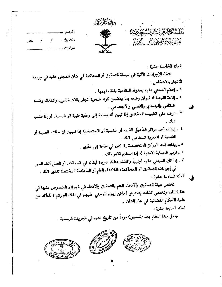|       |  |             | يتنافعا فخراجور |                                                        |  |
|-------|--|-------------|-----------------|--------------------------------------------------------|--|
|       |  |             | 癞               | الشاكرالغ يتها المنحوضي                                |  |
| لأذهر |  | ويوبرانشا ا |                 | مَسْلَمَ بَيْنَا فَيَهْتَبِيْنَ الْمَسْتَمَرَّ الْمَرْ |  |
|       |  | المرفعات    |                 |                                                        |  |

المادة الخامسة عشرة :

تتخذ الإجراءات الآتية في مرحلة التحقيق أو المحاكمة في شأن المجني عليه في جريمة الاتجار بالاشخاص :

١ ـ إعلام المجنى عليه بحقوقه النظامية بلغة يفهمها .

- ٢ ـ إتاحة الفرصة له لبيان وضعه بما يتضمن كونه ضحية اتجار بالاشـخاص، وكـذلك وضـعه النظامي والجسدي والنفسي والاجتماعي .
- ٣ ـ عرضه على الطبيب المختص إذا تبين أنه بحاجة إلى رعاية طبية أو نفـسية، أو إذا طلـب ذلك .
- ٤ ـ إيداعه أحد مراكز التأهيل الطبية أو النفسية أو الاجتماعية إذا تـبـين أن حالتـه الطبيـة أو النفسية أو العمرية تستدعى ذلك .
	- ٥ ـ إيداعه أحد المراكز المتخصصة إذا كان في حاجة إلى مأوى .
		- ٦ ـ توفير الحماية الأمنية له إذا استلزم الأمر ذلك .
- ٧ ـ إذا كان المجني عليه أجنبياً وكانت هناك ضرورة لبقائه في المملكة، أو العمل أثناء السير في إجراءات التحقيق أو المحاكمة، فللادعاء العام أو المحكمة المختصة تقدير ذلك . المادة السادسة عشرة :

تختص هيئة التحقيق والادعاء العام بالتحقيق والادعاء في الجرائم المنصوص عليها في هذا النظام، وتختص كذلك بتفتيش أماكن إيواء المجني عليهم في تلك الجراثم ؛ للتأكد من تنفيذ الاحكام القضائية في هذا الشأن . المادة السابعة عشرة :

يعمل بهذا النظام بعد (تسعين) يوماً من تاريخ نشره في الجريدة الرسمية .



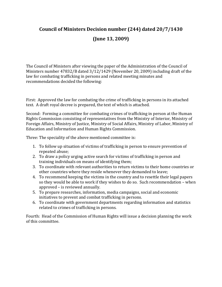# **Council of Ministers Decision number (244) dated 20/7/1430**

# **(June 13, 2009)**

The Council of Ministers after viewing the paper of the Administration of the Council of Ministers number 47832/B dated 3/12/1429 (November 20, 2009) including draft of the law for combating trafficking in persons and related meeting minutes and recommendations decided the following:

First: Approved the law for combating the crime of trafficking in persons in its attached text. A draft royal decree is prepared, the text of which is attached.

Second: Forming a committee for combating crimes of trafficking in person at the Human Rights Commission consisting of representatives from the Ministry of Interior, Ministry of Foreign Affairs, Ministry of Justice, Ministry of Social Affairs, Ministry of Labor, Ministry of Education and Information and Human Rights Commission.

Three: The speciality of the above mentioned committee is:

- 1. To follow up situation of victims of trafficking in person to ensure prevention of repeated abuse;
- 2. To draw a policy urging active search for victims of trafficking in person and training individuals on means of identifying them;
- 3. To coordinate with relevant authorities to return victims to their home countries or other countries where they reside whenever they demanded to leave;
- 4. To recommend keeping the victims in the country and to resettle their legal papers so they would be able to work if they wishes to do so. Such recommendation – when approved – is reviewed annually.
- 5. To prepare researches, information, media campaigns, social and economic initiatives to prevent and combat trafficking in persons.
- 6. To coordinate with government departments regarding information and statistics related to crimes of trafficking in persons.

Fourth: Head of the Commission of Human Rights will issue a decision planning the work of this committee.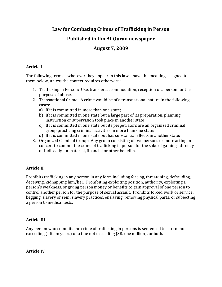# **Law for Combating Crimes of Trafficking in Person**

# **Published in Um Al-Quran newspaper**

# **August 7, 2009**

## **Article I**

The following terms – wherever they appear in this law – have the meaning assigned to them below, unless the context requires otherwise:

- 1. Trafficking in Person: Use, transfer, accommodation, reception of a person for the purpose of abuse.
- 2. Transnational Crime: A crime would be of a transnational nature in the following cases:
	- a) If it is committed in more than one state;
	- b) If it is committed in one state but a large part of its preparation, planning, instruction or supervision took place in another state;
	- c) If it is committed in one state but its perpetrators are an organized criminal group practicing criminal activities in more than one state;
	- d) If it is committed in one state but has substantial effects in another state;
- 3. Organized Criminal Group: Any group consisting of two persons or more acting in concert to commit the crime of trafficking in person for the sake of gaining –directly or indirectly – a material, financial or other benefits.

## **Article II**

Prohibits trafficking in any person in any form including forcing, threatening, defrauding, deceiving, kidnapping him/her. Prohibiting exploiting position, authority, exploiting a person's weakness, or giving person money or benefits to gain approval of one person to control another person for the purpose of sexual assault. Prohibits forced work or service, begging, slavery or semi slavery practices, enslaving, removing physical parts, or subjecting a person to medical tests.

## **Article III**

Any person who commits the crime of trafficking in persons is sentenced to a term not exceeding (fifteen years) or a fine not exceeding (SR. one million), or both.

**Article IV**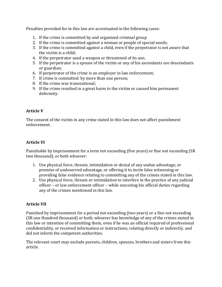Penalties provided for in this law are accentuated in the following cases:

- 1. If the crime is committed by and organized criminal group
- 2. If the crime is committed against a woman or people of special needs;
- 3. If the crime is committed against a child, even if the perpetrator is not aware that the victim is a child;
- 4. If the perpetrator used a weapon or threatened of its use;
- 5. If the perpetrator is a spouse of the victim or any of his ascendants ore descendants or guardian;
- 6. If perpetrator of the crime is an employer in law enforcement;
- 7. If crime is committed by more than one person;
- 8. If the crime was transnational;
- 9. If the crime resulted in a great harm to the victim or caused him permanent deformity.

### **Article V**

The consent of the victim in any crime stated in this law does not affect punishment enforcement.

### **Article VI**

Punishable by imprisonment for a term not exceeding (five years) or fine not exceeding (SR two thousand), or both whoever:

- 1. Use physical force, threats, intimidation or denial of any undue advantage, or promise of undeserved advantage, or offering it to incite false witnessing or providing false evidence relating to committing any of the crimes stated in this law.
- 2. Use physical force, threats or intimidation to interfere in the practice of any judicial officer – or law enforcement officer – while executing his official duties regarding any of the crimes mentioned in this law.

### **Article VII**

Punished by imprisonment for a period not exceeding (two years) or a fine not exceeding (SR one Hundred thousand) or both, whoever has knowledge of any of the crimes stated in this law or intention of committing them, even if he was an official required of professional confidentiality, or received information or instructions, relating directly or indirectly, and did not inform the competent authorities.

The relevant court may exclude parents, children, spouses, brothers and sisters from this article.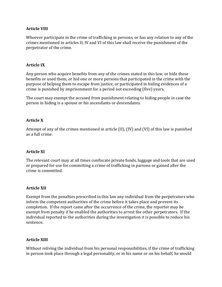#### **Article VIII**

Whoever participate in the crime of trafficking in persons, or has any relation to any of the crimes mentioned in articles II, IV and VI of this law shall receive the punishment of the perpetrator of the crime.

#### **Article IX**

Any person who acquire benefits from any of the crimes stated in this law, or hide these benefits or used them, or hid one or more persons that participated in the crime with the purpose of helping them to escape from justice, or participated in hiding evidences of a crime is punished by imprisonment for a period not exceeding (five) years.

The court may exempt the accused from punishment relating to hiding people in case the person in hiding is a spouse or his ascendants or descendants.

#### **Article X**

Attempt of any of the crimes mentioned in article (II), (IV) and (VI) of this law is punished as a full crime.

### **Article XI**

The relevant court may at all times confiscate private funds, luggage and tools that are used or prepared for use for committing a crime of trafficking in parsons or gained after the crime is committed.

#### **Article XII**

Exempt from the penalties prescribed in this law any individual from the perpetrators who inform the competent authorities of the crime before it takes place and prevent its completion. If the report came after the occurrence of the crime, the reporter may be exempt from penalty if he enabled the authorities to arrest the other perpetrators. If the individual reported to the authorities during the investigation it is possible to reduce his sentence.

#### **Article XIII**

Without reliving the individual from his personal responsibilities, if the crime of trafficking in person took place through a legal personality, or in his name or on his behalf, he would